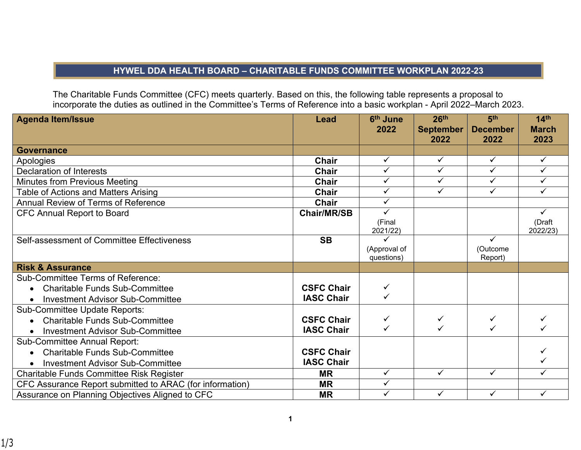## **HYWEL DDA HEALTH BOARD – CHARITABLE FUNDS COMMITTEE WORKPLAN 2022-23**

The Charitable Funds Committee (CFC) meets quarterly. Based on this, the following table represents a proposal to incorporate the duties as outlined in the Committee's Terms of Reference into a basic workplan - April 2022–March 2023.

| <b>Agenda Item/Issue</b>                                 | <b>Lead</b>        | 6 <sup>th</sup> June<br>2022 | 26 <sup>th</sup><br><b>September</b> | 5 <sup>th</sup><br><b>December</b> | 14 <sup>th</sup><br><b>March</b> |
|----------------------------------------------------------|--------------------|------------------------------|--------------------------------------|------------------------------------|----------------------------------|
|                                                          |                    |                              | 2022                                 | 2022                               | 2023                             |
| <b>Governance</b>                                        |                    |                              |                                      |                                    |                                  |
| Apologies                                                | <b>Chair</b>       | $\checkmark$                 | $\checkmark$                         | $\checkmark$                       | $\checkmark$                     |
| <b>Declaration of Interests</b>                          | <b>Chair</b>       | $\overline{\checkmark}$      | $\checkmark$                         | $\checkmark$                       | ✓                                |
| Minutes from Previous Meeting                            | <b>Chair</b>       | $\checkmark$                 | $\checkmark$                         | ✓                                  | ✓                                |
| Table of Actions and Matters Arising                     | Chair              | $\checkmark$                 | ✓                                    | ✓                                  | ✓                                |
| Annual Review of Terms of Reference                      | Chair              | $\checkmark$                 |                                      |                                    |                                  |
| <b>CFC Annual Report to Board</b>                        | <b>Chair/MR/SB</b> | $\checkmark$                 |                                      |                                    | ✓                                |
|                                                          |                    | (Final<br>2021/22)           |                                      |                                    | (Draft<br>2022/23)               |
| Self-assessment of Committee Effectiveness               | <b>SB</b>          |                              |                                      | $\checkmark$                       |                                  |
|                                                          |                    | (Approval of<br>questions)   |                                      | (Outcome<br>Report)                |                                  |
| <b>Risk &amp; Assurance</b>                              |                    |                              |                                      |                                    |                                  |
| <b>Sub-Committee Terms of Reference:</b>                 |                    |                              |                                      |                                    |                                  |
| <b>Charitable Funds Sub-Committee</b><br>$\bullet$       | <b>CSFC Chair</b>  | ✓                            |                                      |                                    |                                  |
| <b>Investment Advisor Sub-Committee</b><br>$\bullet$     | <b>IASC Chair</b>  | $\checkmark$                 |                                      |                                    |                                  |
| Sub-Committee Update Reports:                            |                    |                              |                                      |                                    |                                  |
| <b>Charitable Funds Sub-Committee</b>                    | <b>CSFC Chair</b>  | ✓                            |                                      | ✓                                  |                                  |
| <b>Investment Advisor Sub-Committee</b>                  | <b>IASC Chair</b>  | ✓                            |                                      | ✓                                  |                                  |
| <b>Sub-Committee Annual Report:</b>                      |                    |                              |                                      |                                    |                                  |
| <b>Charitable Funds Sub-Committee</b><br>$\bullet$       | <b>CSFC Chair</b>  |                              |                                      |                                    |                                  |
| <b>Investment Advisor Sub-Committee</b><br>$\bullet$     | <b>IASC Chair</b>  |                              |                                      |                                    |                                  |
| Charitable Funds Committee Risk Register                 | <b>MR</b>          | $\overline{\checkmark}$      | $\checkmark$                         | $\checkmark$                       | ✓                                |
| CFC Assurance Report submitted to ARAC (for information) | <b>MR</b>          | $\checkmark$                 |                                      |                                    |                                  |
| Assurance on Planning Objectives Aligned to CFC          | <b>MR</b>          | $\checkmark$                 | $\checkmark$                         | $\checkmark$                       | ✓                                |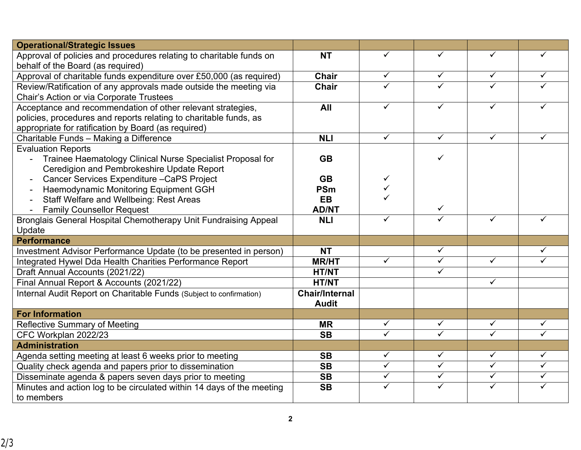| <b>Operational/Strategic Issues</b>                                                                                                                                                     |                       |                         |                         |                         |                         |
|-----------------------------------------------------------------------------------------------------------------------------------------------------------------------------------------|-----------------------|-------------------------|-------------------------|-------------------------|-------------------------|
| Approval of policies and procedures relating to charitable funds on<br>behalf of the Board (as required)                                                                                | <b>NT</b>             | ✓                       | ✓                       | ✓                       | ✓                       |
| Approval of charitable funds expenditure over £50,000 (as required)                                                                                                                     | <b>Chair</b>          | $\checkmark$            | ✓                       | $\checkmark$            | ✓                       |
| Review/Ratification of any approvals made outside the meeting via<br>Chair's Action or via Corporate Trustees                                                                           | <b>Chair</b>          | ✓                       | ✓                       | $\checkmark$            |                         |
| Acceptance and recommendation of other relevant strategies,<br>policies, procedures and reports relating to charitable funds, as<br>appropriate for ratification by Board (as required) | All                   | ✓                       | ✓                       | ✓                       |                         |
| Charitable Funds - Making a Difference                                                                                                                                                  | <b>NLI</b>            | $\checkmark$            | $\checkmark$            | $\checkmark$            | ✓                       |
| <b>Evaluation Reports</b><br>Trainee Haematology Clinical Nurse Specialist Proposal for<br>Ceredigion and Pembrokeshire Update Report                                                   | <b>GB</b>             |                         | ✓                       |                         |                         |
| Cancer Services Expenditure - CaPS Project                                                                                                                                              | <b>GB</b>             | ✓                       |                         |                         |                         |
| Haemodynamic Monitoring Equipment GGH                                                                                                                                                   | <b>PSm</b>            |                         |                         |                         |                         |
| <b>Staff Welfare and Wellbeing: Rest Areas</b>                                                                                                                                          | <b>EB</b>             |                         |                         |                         |                         |
| <b>Family Counsellor Request</b>                                                                                                                                                        | <b>AD/NT</b>          |                         | ✓                       |                         |                         |
| Bronglais General Hospital Chemotherapy Unit Fundraising Appeal                                                                                                                         | <b>NLI</b>            | ✓                       | ✓                       | ✓                       | ✓                       |
| Update                                                                                                                                                                                  |                       |                         |                         |                         |                         |
| <b>Performance</b>                                                                                                                                                                      |                       |                         |                         |                         |                         |
| Investment Advisor Performance Update (to be presented in person)                                                                                                                       | <b>NT</b>             |                         | ✓                       |                         | ✓                       |
| Integrated Hywel Dda Health Charities Performance Report                                                                                                                                | <b>MR/HT</b>          | $\overline{\checkmark}$ | $\checkmark$            | $\checkmark$            | $\checkmark$            |
| Draft Annual Accounts (2021/22)                                                                                                                                                         | <b>HT/NT</b>          |                         | ✓                       |                         |                         |
| Final Annual Report & Accounts (2021/22)                                                                                                                                                | <b>HT/NT</b>          |                         |                         | $\checkmark$            |                         |
| Internal Audit Report on Charitable Funds (Subject to confirmation)                                                                                                                     | <b>Chair/Internal</b> |                         |                         |                         |                         |
|                                                                                                                                                                                         | <b>Audit</b>          |                         |                         |                         |                         |
| <b>For Information</b>                                                                                                                                                                  |                       | $\checkmark$            | $\checkmark$            | $\checkmark$            | $\checkmark$            |
| <b>Reflective Summary of Meeting</b>                                                                                                                                                    | <b>MR</b>             | $\checkmark$            | ✓                       | $\checkmark$            | ✓                       |
| CFC Workplan 2022/23                                                                                                                                                                    | <b>SB</b>             |                         |                         |                         |                         |
| <b>Administration</b>                                                                                                                                                                   |                       |                         |                         |                         |                         |
| Agenda setting meeting at least 6 weeks prior to meeting                                                                                                                                | <b>SB</b>             | $\checkmark$            | $\checkmark$            | $\checkmark$            | $\checkmark$            |
| Quality check agenda and papers prior to dissemination                                                                                                                                  | <b>SB</b>             | $\overline{\checkmark}$ | $\overline{\checkmark}$ | $\overline{\checkmark}$ | $\overline{\checkmark}$ |
| Disseminate agenda & papers seven days prior to meeting                                                                                                                                 | <b>SB</b>             | $\checkmark$            | ✓                       | $\checkmark$            | ✓                       |
| Minutes and action log to be circulated within 14 days of the meeting<br>to members                                                                                                     | <b>SB</b>             | $\checkmark$            | ✓                       | $\checkmark$            | ✓                       |